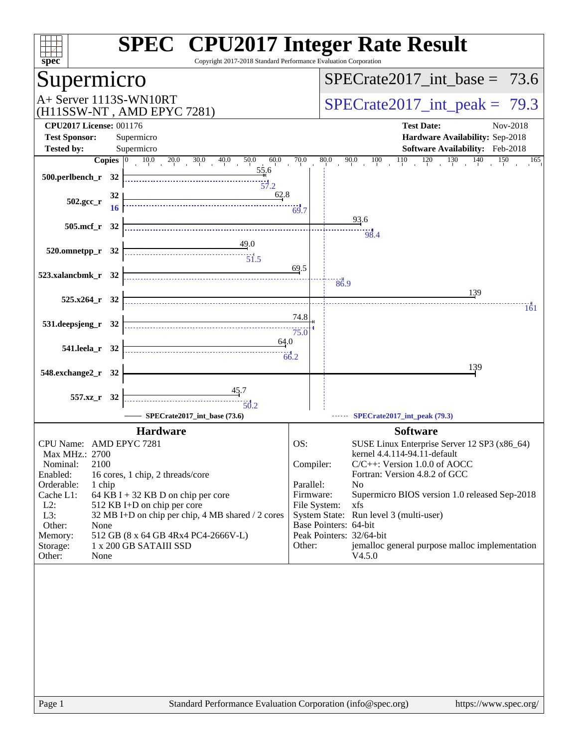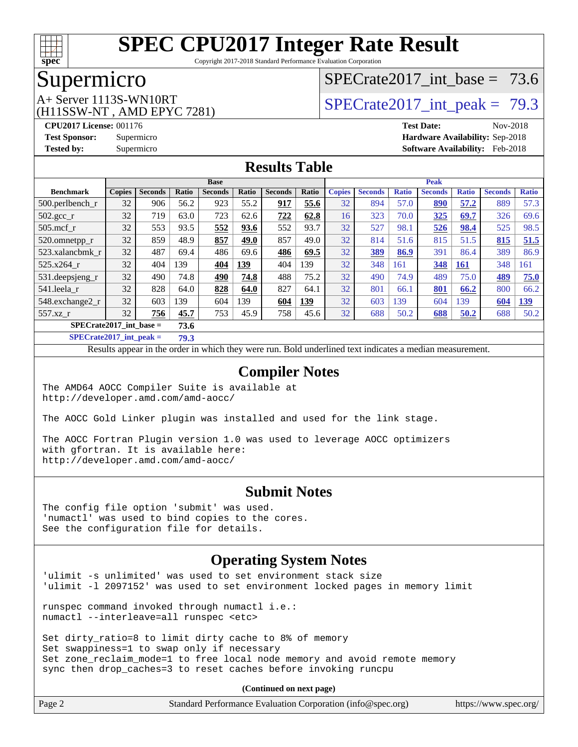

Copyright 2017-2018 Standard Performance Evaluation Corporation

### Supermicro

(H11SSW-NT , AMD EPYC 7281)

SPECrate2017 int\_base =  $73.6$ 

## A+ Server 1113S-WN10RT <br>SPECrate2017 int\_peak = 79.3

**[CPU2017 License:](http://www.spec.org/auto/cpu2017/Docs/result-fields.html#CPU2017License)** 001176 **[Test Date:](http://www.spec.org/auto/cpu2017/Docs/result-fields.html#TestDate)** Nov-2018 **[Test Sponsor:](http://www.spec.org/auto/cpu2017/Docs/result-fields.html#TestSponsor)** Supermicro **[Hardware Availability:](http://www.spec.org/auto/cpu2017/Docs/result-fields.html#HardwareAvailability)** Sep-2018 **[Tested by:](http://www.spec.org/auto/cpu2017/Docs/result-fields.html#Testedby)** Supermicro **[Software Availability:](http://www.spec.org/auto/cpu2017/Docs/result-fields.html#SoftwareAvailability)** Feb-2018

### **[Results Table](http://www.spec.org/auto/cpu2017/Docs/result-fields.html#ResultsTable)**

|                                   | <b>Base</b>   |                |       |                |       | <b>Peak</b>    |       |               |                |              |                |              |                |              |
|-----------------------------------|---------------|----------------|-------|----------------|-------|----------------|-------|---------------|----------------|--------------|----------------|--------------|----------------|--------------|
| <b>Benchmark</b>                  | <b>Copies</b> | <b>Seconds</b> | Ratio | <b>Seconds</b> | Ratio | <b>Seconds</b> | Ratio | <b>Copies</b> | <b>Seconds</b> | <b>Ratio</b> | <b>Seconds</b> | <b>Ratio</b> | <b>Seconds</b> | <b>Ratio</b> |
| 500.perlbench_r                   | 32            | 906            | 56.2  | 923            | 55.2  | 917            | 55.6  | 32            | 894            | 57.0         | 890            | 57.2         | 889            | 57.3         |
| 502.gcc_r                         | 32            | 719            | 63.0  | 723            | 62.6  | 722            | 62.8  | 16            | 323            | 70.0         | 325            | 69.7         | 326            | 69.6         |
| $505$ .mcf r                      | 32            | 553            | 93.5  | 552            | 93.6  | 552            | 93.7  | 32            | 527            | 98.1         | 526            | 98.4         | 525            | 98.5         |
| 520.omnetpp_r                     | 32            | 859            | 48.9  | 857            | 49.0  | 857            | 49.0  | 32            | 814            | 51.6         | 815            | 51.5         | 815            | 51.5         |
| 523.xalancbmk r                   | 32            | 487            | 69.4  | 486            | 69.6  | 486            | 69.5  | 32            | <u>389</u>     | 86.9         | 391            | 86.4         | 389            | 86.9         |
| 525.x264 r                        | 32            | 404            | 139   | 404            | 139   | 404            | 139   | 32            | 348            | 161          | 348            | <b>161</b>   | 348            | 161          |
| 531.deepsjeng_r                   | 32            | 490            | 74.8  | 490            | 74.8  | 488            | 75.2  | 32            | 490            | 74.9         | 489            | 75.0         | 489            | 75.0         |
| 541.leela r                       | 32            | 828            | 64.0  | 828            | 64.0  | 827            | 64.1  | 32            | 801            | 66.1         | 801            | 66.2         | 800            | 66.2         |
| 548.exchange2_r                   | 32            | 603            | 139   | 604            | 139   | 604            | 139   | 32            | 603            | 139          | 604            | 139          | 604            | <b>139</b>   |
| 557.xz r                          | 32            | 756            | 45.7  | 753            | 45.9  | 758            | 45.6  | 32            | 688            | 50.2         | 688            | 50.2         | 688            | 50.2         |
| $SPECrate2017$ int base =<br>73.6 |               |                |       |                |       |                |       |               |                |              |                |              |                |              |

**[SPECrate2017\\_int\\_peak =](http://www.spec.org/auto/cpu2017/Docs/result-fields.html#SPECrate2017intpeak) 79.3**

Results appear in the [order in which they were run.](http://www.spec.org/auto/cpu2017/Docs/result-fields.html#RunOrder) Bold underlined text [indicates a median measurement.](http://www.spec.org/auto/cpu2017/Docs/result-fields.html#Median)

#### **[Compiler Notes](http://www.spec.org/auto/cpu2017/Docs/result-fields.html#CompilerNotes)**

The AMD64 AOCC Compiler Suite is available at <http://developer.amd.com/amd-aocc/>

The AOCC Gold Linker plugin was installed and used for the link stage.

The AOCC Fortran Plugin version 1.0 was used to leverage AOCC optimizers with gfortran. It is available here: <http://developer.amd.com/amd-aocc/>

#### **[Submit Notes](http://www.spec.org/auto/cpu2017/Docs/result-fields.html#SubmitNotes)**

The config file option 'submit' was used. 'numactl' was used to bind copies to the cores. See the configuration file for details.

#### **[Operating System Notes](http://www.spec.org/auto/cpu2017/Docs/result-fields.html#OperatingSystemNotes)**

'ulimit -s unlimited' was used to set environment stack size 'ulimit -l 2097152' was used to set environment locked pages in memory limit

runspec command invoked through numactl i.e.: numactl --interleave=all runspec <etc>

Set dirty\_ratio=8 to limit dirty cache to 8% of memory Set swappiness=1 to swap only if necessary Set zone\_reclaim\_mode=1 to free local node memory and avoid remote memory sync then drop\_caches=3 to reset caches before invoking runcpu

**(Continued on next page)**

| Page 2 | Standard Performance Evaluation Corporation (info@spec.org) |  | https://www.spec.org/ |
|--------|-------------------------------------------------------------|--|-----------------------|
|--------|-------------------------------------------------------------|--|-----------------------|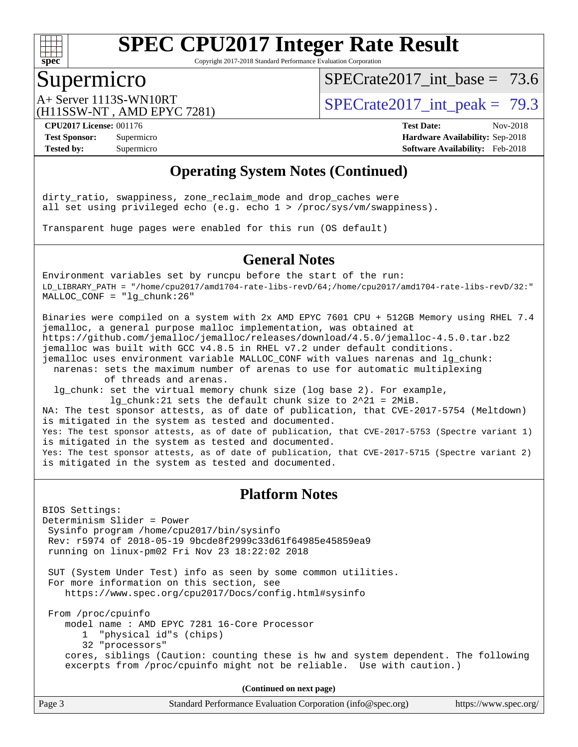

Copyright 2017-2018 Standard Performance Evaluation Corporation

### Supermicro

SPECrate2017 int\_base =  $73.6$ 

(H11SSW-NT , AMD EPYC 7281)

A+ Server 1113S-WN10RT <br>SPECrate2017 int\_peak = 79.3

**[Tested by:](http://www.spec.org/auto/cpu2017/Docs/result-fields.html#Testedby)** Supermicro **[Software Availability:](http://www.spec.org/auto/cpu2017/Docs/result-fields.html#SoftwareAvailability)** Feb-2018

**[CPU2017 License:](http://www.spec.org/auto/cpu2017/Docs/result-fields.html#CPU2017License)** 001176 **[Test Date:](http://www.spec.org/auto/cpu2017/Docs/result-fields.html#TestDate)** Nov-2018 **[Test Sponsor:](http://www.spec.org/auto/cpu2017/Docs/result-fields.html#TestSponsor)** Supermicro **[Hardware Availability:](http://www.spec.org/auto/cpu2017/Docs/result-fields.html#HardwareAvailability)** Sep-2018

### **[Operating System Notes \(Continued\)](http://www.spec.org/auto/cpu2017/Docs/result-fields.html#OperatingSystemNotes)**

dirty\_ratio, swappiness, zone\_reclaim\_mode and drop\_caches were all set using privileged echo (e.g. echo 1 > /proc/sys/vm/swappiness).

Transparent huge pages were enabled for this run (OS default)

#### **[General Notes](http://www.spec.org/auto/cpu2017/Docs/result-fields.html#GeneralNotes)**

Environment variables set by runcpu before the start of the run: LD\_LIBRARY\_PATH = "/home/cpu2017/amd1704-rate-libs-revD/64;/home/cpu2017/amd1704-rate-libs-revD/32:" MALLOC\_CONF = "lg\_chunk:26"

Binaries were compiled on a system with 2x AMD EPYC 7601 CPU + 512GB Memory using RHEL 7.4 jemalloc, a general purpose malloc implementation, was obtained at <https://github.com/jemalloc/jemalloc/releases/download/4.5.0/jemalloc-4.5.0.tar.bz2> jemalloc was built with GCC v4.8.5 in RHEL v7.2 under default conditions. jemalloc uses environment variable MALLOC\_CONF with values narenas and lg\_chunk:

 narenas: sets the maximum number of arenas to use for automatic multiplexing of threads and arenas.

 lg\_chunk: set the virtual memory chunk size (log base 2). For example, lg\_chunk:21 sets the default chunk size to 2^21 = 2MiB.

NA: The test sponsor attests, as of date of publication, that CVE-2017-5754 (Meltdown) is mitigated in the system as tested and documented. Yes: The test sponsor attests, as of date of publication, that CVE-2017-5753 (Spectre variant 1) is mitigated in the system as tested and documented. Yes: The test sponsor attests, as of date of publication, that CVE-2017-5715 (Spectre variant 2) is mitigated in the system as tested and documented.

#### **[Platform Notes](http://www.spec.org/auto/cpu2017/Docs/result-fields.html#PlatformNotes)**

BIOS Settings: Determinism Slider = Power Sysinfo program /home/cpu2017/bin/sysinfo Rev: r5974 of 2018-05-19 9bcde8f2999c33d61f64985e45859ea9 running on linux-pm02 Fri Nov 23 18:22:02 2018

 SUT (System Under Test) info as seen by some common utilities. For more information on this section, see <https://www.spec.org/cpu2017/Docs/config.html#sysinfo>

 From /proc/cpuinfo model name : AMD EPYC 7281 16-Core Processor 1 "physical id"s (chips) 32 "processors" cores, siblings (Caution: counting these is hw and system dependent. The following excerpts from /proc/cpuinfo might not be reliable. Use with caution.)

**(Continued on next page)**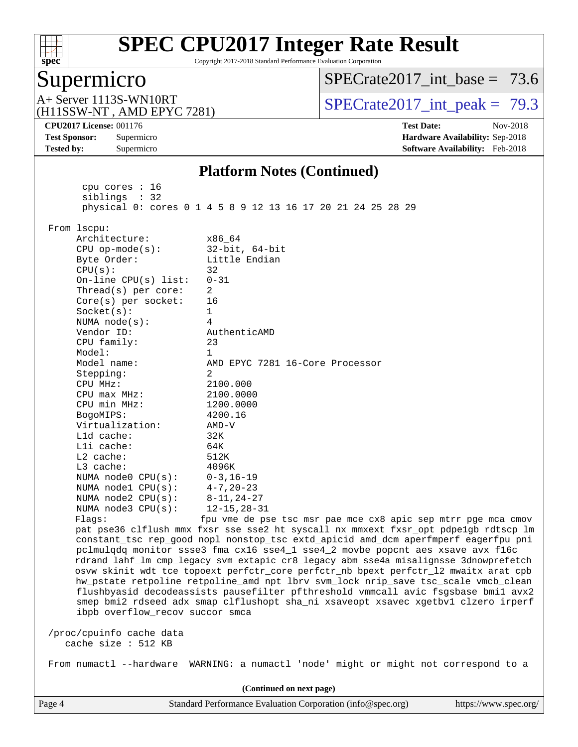

Copyright 2017-2018 Standard Performance Evaluation Corporation

### Supermicro

[SPECrate2017\\_int\\_base =](http://www.spec.org/auto/cpu2017/Docs/result-fields.html#SPECrate2017intbase) 73.6

(H11SSW-NT , AMD EPYC 7281)

A+ Server 1113S-WN10RT <br> $SPECTate2017$  int\_peak = 79.3

**[CPU2017 License:](http://www.spec.org/auto/cpu2017/Docs/result-fields.html#CPU2017License)** 001176 **[Test Date:](http://www.spec.org/auto/cpu2017/Docs/result-fields.html#TestDate)** Nov-2018 **[Test Sponsor:](http://www.spec.org/auto/cpu2017/Docs/result-fields.html#TestSponsor)** Supermicro **[Hardware Availability:](http://www.spec.org/auto/cpu2017/Docs/result-fields.html#HardwareAvailability)** Sep-2018 **[Tested by:](http://www.spec.org/auto/cpu2017/Docs/result-fields.html#Testedby)** Supermicro **[Software Availability:](http://www.spec.org/auto/cpu2017/Docs/result-fields.html#SoftwareAvailability)** Feb-2018

#### **[Platform Notes \(Continued\)](http://www.spec.org/auto/cpu2017/Docs/result-fields.html#PlatformNotes)**

 cpu cores : 16 siblings : 32 physical 0: cores 0 1 4 5 8 9 12 13 16 17 20 21 24 25 28 29 From lscpu: Architecture: x86\_64 CPU op-mode(s): 32-bit, 64-bit Byte Order: Little Endian  $CPU(s):$  32 On-line CPU(s) list: 0-31 Thread(s) per core: 2 Core(s) per socket: 16 Socket(s): 1 NUMA node(s): 4 Vendor ID: AuthenticAMD CPU family: 23 Model: 1 Model name: AMD EPYC 7281 16-Core Processor Stepping: 2 CPU MHz: 2100.000 CPU max MHz: 2100.0000 CPU min MHz: 1200.0000 BogoMIPS: 4200.16 Virtualization: AMD-V L1d cache: 32K L1i cache: 64K L2 cache: 512K L3 cache: 4096K NUMA node0 CPU(s): 0-3,16-19 NUMA node1 CPU(s): 4-7,20-23 NUMA node2 CPU(s): 8-11,24-27 NUMA node3 CPU(s): 12-15,28-31 Flags: fpu vme de pse tsc msr pae mce cx8 apic sep mtrr pge mca cmov pat pse36 clflush mmx fxsr sse sse2 ht syscall nx mmxext fxsr\_opt pdpe1gb rdtscp lm constant\_tsc rep\_good nopl nonstop\_tsc extd\_apicid amd\_dcm aperfmperf eagerfpu pni pclmulqdq monitor ssse3 fma cx16 sse4\_1 sse4\_2 movbe popcnt aes xsave avx f16c rdrand lahf\_lm cmp\_legacy svm extapic cr8\_legacy abm sse4a misalignsse 3dnowprefetch osvw skinit wdt tce topoext perfctr\_core perfctr\_nb bpext perfctr\_l2 mwaitx arat cpb hw\_pstate retpoline retpoline\_amd npt lbrv svm\_lock nrip\_save tsc\_scale vmcb\_clean flushbyasid decodeassists pausefilter pfthreshold vmmcall avic fsgsbase bmi1 avx2 smep bmi2 rdseed adx smap clflushopt sha\_ni xsaveopt xsavec xgetbv1 clzero irperf ibpb overflow\_recov succor smca /proc/cpuinfo cache data cache size : 512 KB From numactl --hardware WARNING: a numactl 'node' might or might not correspond to a **(Continued on next page)**

Page 4 Standard Performance Evaluation Corporation [\(info@spec.org\)](mailto:info@spec.org) <https://www.spec.org/>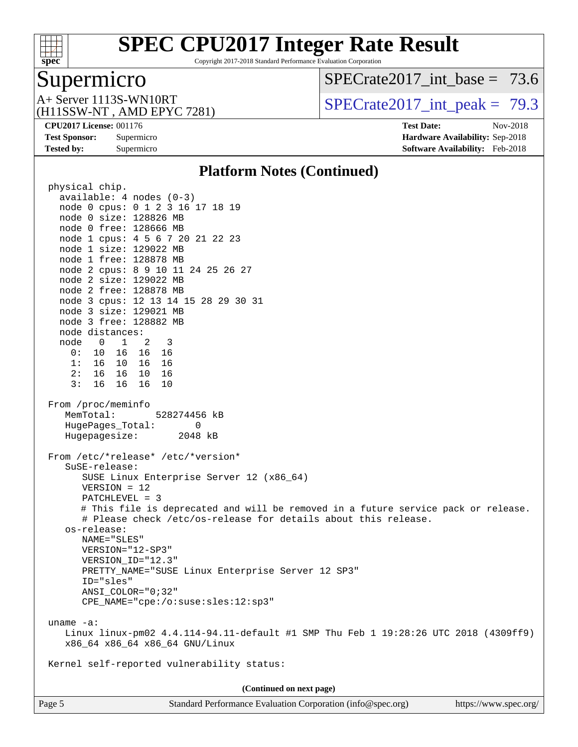

Copyright 2017-2018 Standard Performance Evaluation Corporation

# Supermicro<br>A+ Server 1113S-WN10RT

 $SPECTate2017\_int\_base = 73.6$ 

(H11SSW-NT , AMD EPYC 7281)

 $SPECTate 2017\_int\_peak = 79.3$ 

**[Tested by:](http://www.spec.org/auto/cpu2017/Docs/result-fields.html#Testedby)** Supermicro **[Software Availability:](http://www.spec.org/auto/cpu2017/Docs/result-fields.html#SoftwareAvailability)** Feb-2018

**[CPU2017 License:](http://www.spec.org/auto/cpu2017/Docs/result-fields.html#CPU2017License)** 001176 **[Test Date:](http://www.spec.org/auto/cpu2017/Docs/result-fields.html#TestDate)** Nov-2018 **[Test Sponsor:](http://www.spec.org/auto/cpu2017/Docs/result-fields.html#TestSponsor)** Supermicro **[Hardware Availability:](http://www.spec.org/auto/cpu2017/Docs/result-fields.html#HardwareAvailability)** Sep-2018

#### **[Platform Notes \(Continued\)](http://www.spec.org/auto/cpu2017/Docs/result-fields.html#PlatformNotes)**

| physical chip.                                                                                                                                                                                                                                                                                                                                                                                                                                                                                                                         |  |  |  |  |
|----------------------------------------------------------------------------------------------------------------------------------------------------------------------------------------------------------------------------------------------------------------------------------------------------------------------------------------------------------------------------------------------------------------------------------------------------------------------------------------------------------------------------------------|--|--|--|--|
| $available: 4 nodes (0-3)$                                                                                                                                                                                                                                                                                                                                                                                                                                                                                                             |  |  |  |  |
| node 0 cpus: 0 1 2 3 16 17 18 19                                                                                                                                                                                                                                                                                                                                                                                                                                                                                                       |  |  |  |  |
| node 0 size: 128826 MB                                                                                                                                                                                                                                                                                                                                                                                                                                                                                                                 |  |  |  |  |
| node 0 free: 128666 MB                                                                                                                                                                                                                                                                                                                                                                                                                                                                                                                 |  |  |  |  |
| node 1 cpus: 4 5 6 7 20 21 22 23                                                                                                                                                                                                                                                                                                                                                                                                                                                                                                       |  |  |  |  |
| node 1 size: 129022 MB                                                                                                                                                                                                                                                                                                                                                                                                                                                                                                                 |  |  |  |  |
| node 1 free: 128878 MB                                                                                                                                                                                                                                                                                                                                                                                                                                                                                                                 |  |  |  |  |
| node 2 cpus: 8 9 10 11 24 25 26 27                                                                                                                                                                                                                                                                                                                                                                                                                                                                                                     |  |  |  |  |
| node 2 size: 129022 MB                                                                                                                                                                                                                                                                                                                                                                                                                                                                                                                 |  |  |  |  |
| node 2 free: 128878 MB                                                                                                                                                                                                                                                                                                                                                                                                                                                                                                                 |  |  |  |  |
| node 3 cpus: 12 13 14 15 28 29 30 31                                                                                                                                                                                                                                                                                                                                                                                                                                                                                                   |  |  |  |  |
| node 3 size: 129021 MB                                                                                                                                                                                                                                                                                                                                                                                                                                                                                                                 |  |  |  |  |
| node 3 free: 128882 MB                                                                                                                                                                                                                                                                                                                                                                                                                                                                                                                 |  |  |  |  |
| node distances:                                                                                                                                                                                                                                                                                                                                                                                                                                                                                                                        |  |  |  |  |
| node 0 1 2 3                                                                                                                                                                                                                                                                                                                                                                                                                                                                                                                           |  |  |  |  |
| 0: 10 16 16 16                                                                                                                                                                                                                                                                                                                                                                                                                                                                                                                         |  |  |  |  |
| 1: 16 10 16 16<br>2: 16 16 10 16                                                                                                                                                                                                                                                                                                                                                                                                                                                                                                       |  |  |  |  |
| 3: 16 16 16<br>10                                                                                                                                                                                                                                                                                                                                                                                                                                                                                                                      |  |  |  |  |
|                                                                                                                                                                                                                                                                                                                                                                                                                                                                                                                                        |  |  |  |  |
| From /proc/meminfo<br>MemTotal:<br>528274456 kB<br>HugePages_Total:<br>$\Omega$<br>2048 kB<br>Hugepagesize:<br>From /etc/*release* /etc/*version*<br>SuSE-release:<br>SUSE Linux Enterprise Server 12 (x86_64)<br>$VERSION = 12$<br>PATCHLEVEL = 3<br># This file is deprecated and will be removed in a future service pack or release.<br># Please check /etc/os-release for details about this release.<br>os-release:<br>NAME="SLES"<br>VERSION="12-SP3"<br>VERSION_ID="12.3"<br>PRETTY_NAME="SUSE Linux Enterprise Server 12 SP3" |  |  |  |  |
| ID="sles"                                                                                                                                                                                                                                                                                                                                                                                                                                                                                                                              |  |  |  |  |
| $ANSI\_COLOR = "0:32"$<br>CPE_NAME="cpe:/o:suse:sles:12:sp3"                                                                                                                                                                                                                                                                                                                                                                                                                                                                           |  |  |  |  |
|                                                                                                                                                                                                                                                                                                                                                                                                                                                                                                                                        |  |  |  |  |
| uname $-a$ :<br>Linux linux-pm02 4.4.114-94.11-default #1 SMP Thu Feb 1 19:28:26 UTC 2018 (4309ff9)<br>x86 64 x86 64 x86 64 GNU/Linux                                                                                                                                                                                                                                                                                                                                                                                                  |  |  |  |  |
| Kernel self-reported vulnerability status:                                                                                                                                                                                                                                                                                                                                                                                                                                                                                             |  |  |  |  |
| (Continued on next page)                                                                                                                                                                                                                                                                                                                                                                                                                                                                                                               |  |  |  |  |
|                                                                                                                                                                                                                                                                                                                                                                                                                                                                                                                                        |  |  |  |  |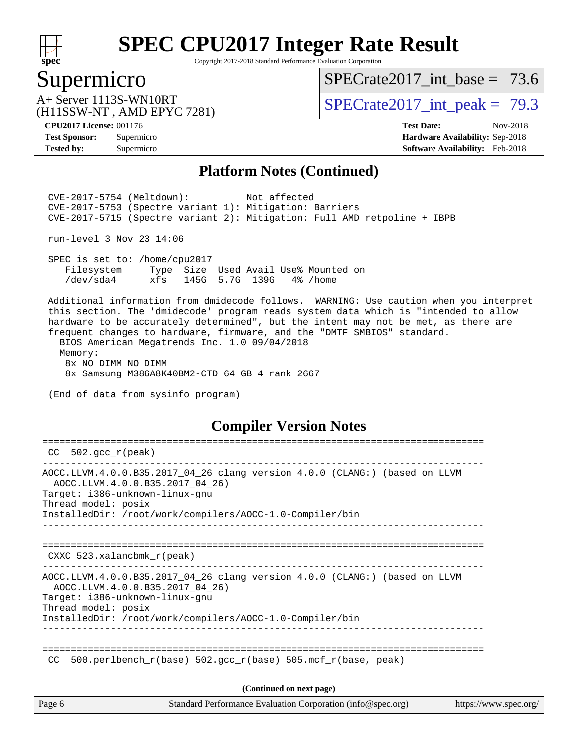

Copyright 2017-2018 Standard Performance Evaluation Corporation

### Supermicro

SPECrate2017 int\_base =  $73.6$ 

(H11SSW-NT , AMD EPYC 7281)

A+ Server 1113S-WN10RT <br> $SPECTate2017$  int\_peak = 79.3

**[CPU2017 License:](http://www.spec.org/auto/cpu2017/Docs/result-fields.html#CPU2017License)** 001176 **[Test Date:](http://www.spec.org/auto/cpu2017/Docs/result-fields.html#TestDate)** Nov-2018 **[Test Sponsor:](http://www.spec.org/auto/cpu2017/Docs/result-fields.html#TestSponsor)** Supermicro **[Hardware Availability:](http://www.spec.org/auto/cpu2017/Docs/result-fields.html#HardwareAvailability)** Sep-2018 **[Tested by:](http://www.spec.org/auto/cpu2017/Docs/result-fields.html#Testedby)** Supermicro **[Software Availability:](http://www.spec.org/auto/cpu2017/Docs/result-fields.html#SoftwareAvailability)** Feb-2018

#### **[Platform Notes \(Continued\)](http://www.spec.org/auto/cpu2017/Docs/result-fields.html#PlatformNotes)**

 CVE-2017-5754 (Meltdown): Not affected CVE-2017-5753 (Spectre variant 1): Mitigation: Barriers CVE-2017-5715 (Spectre variant 2): Mitigation: Full AMD retpoline + IBPB

run-level 3 Nov 23 14:06

 SPEC is set to: /home/cpu2017 Filesystem Type Size Used Avail Use% Mounted on /dev/sda4 xfs 145G 5.7G 139G 4% /home

 Additional information from dmidecode follows. WARNING: Use caution when you interpret this section. The 'dmidecode' program reads system data which is "intended to allow hardware to be accurately determined", but the intent may not be met, as there are frequent changes to hardware, firmware, and the "DMTF SMBIOS" standard. BIOS American Megatrends Inc. 1.0 09/04/2018 Memory:

 8x NO DIMM NO DIMM 8x Samsung M386A8K40BM2-CTD 64 GB 4 rank 2667

(End of data from sysinfo program)

#### **[Compiler Version Notes](http://www.spec.org/auto/cpu2017/Docs/result-fields.html#CompilerVersionNotes)**

| CC.    | 502. $qcc$ r(peak)                                                                                                                                                                                                                 |
|--------|------------------------------------------------------------------------------------------------------------------------------------------------------------------------------------------------------------------------------------|
|        | AOCC.LLVM.4.0.0.B35.2017_04_26 clang version 4.0.0 (CLANG:) (based on LLVM<br>AOCC.LLVM.4.0.0.B35.2017_04_26)<br>Target: i386-unknown-linux-gnu<br>Thread model: posix<br>InstalledDir: /root/work/compilers/AOCC-1.0-Compiler/bin |
|        | $CXXC$ 523.xalancbmk $r(\text{peak})$                                                                                                                                                                                              |
|        | AOCC.LLVM.4.0.0.B35.2017_04_26 clang version 4.0.0 (CLANG:) (based on LLVM<br>AOCC.LLVM.4.0.0.B35.2017_04_26)<br>Target: i386-unknown-linux-gnu<br>Thread model: posix<br>InstalledDir: /root/work/compilers/AOCC-1.0-Compiler/bin |
| CC.    | 500.perlbench $r(base)$ 502.qcc $r(base)$ 505.mcf $r(base, peak)$                                                                                                                                                                  |
|        | (Continued on next page)                                                                                                                                                                                                           |
| Page 6 | Standard Performance Evaluation Corporation (info@spec.org)<br>https://www.spec.org/                                                                                                                                               |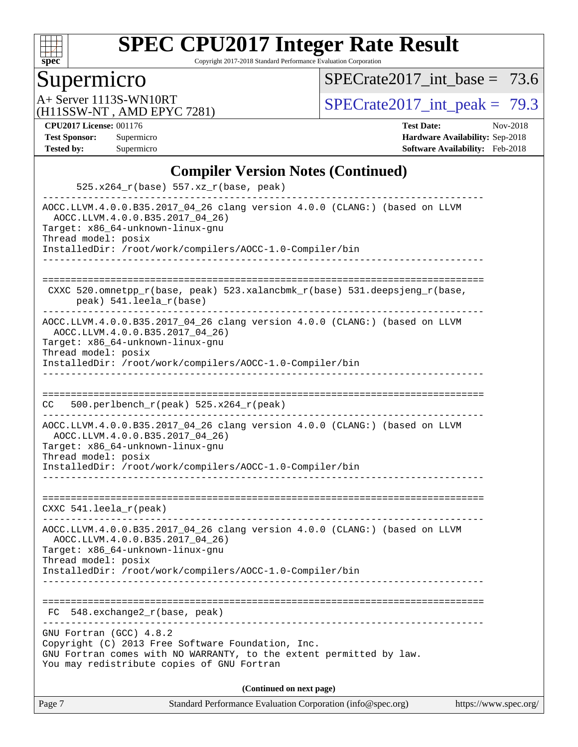

Copyright 2017-2018 Standard Performance Evaluation Corporation

## **Supermicro**

 $SPECTate2017\_int\_base = 73.6$ 

(H11SSW-NT , AMD EPYC 7281)

A+ Server 1113S-WN10RT<br>
(H11SSW-NT AMD FPYC 7281) [SPECrate2017\\_int\\_peak =](http://www.spec.org/auto/cpu2017/Docs/result-fields.html#SPECrate2017intpeak) 79.3

**[CPU2017 License:](http://www.spec.org/auto/cpu2017/Docs/result-fields.html#CPU2017License)** 001176 **[Test Date:](http://www.spec.org/auto/cpu2017/Docs/result-fields.html#TestDate)** Nov-2018 **[Test Sponsor:](http://www.spec.org/auto/cpu2017/Docs/result-fields.html#TestSponsor)** Supermicro **[Hardware Availability:](http://www.spec.org/auto/cpu2017/Docs/result-fields.html#HardwareAvailability)** Sep-2018 **[Tested by:](http://www.spec.org/auto/cpu2017/Docs/result-fields.html#Testedby)** Supermicro **[Software Availability:](http://www.spec.org/auto/cpu2017/Docs/result-fields.html#SoftwareAvailability)** Feb-2018

### **[Compiler Version Notes \(Continued\)](http://www.spec.org/auto/cpu2017/Docs/result-fields.html#CompilerVersionNotes)**

| Page 7                                                  | Standard Performance Evaluation Corporation (info@spec.org)                                                                                                                         | https://www.spec.org/ |
|---------------------------------------------------------|-------------------------------------------------------------------------------------------------------------------------------------------------------------------------------------|-----------------------|
|                                                         | (Continued on next page)                                                                                                                                                            |                       |
| GNU Fortran (GCC) 4.8.2                                 | Copyright (C) 2013 Free Software Foundation, Inc.<br>GNU Fortran comes with NO WARRANTY, to the extent permitted by law.<br>You may redistribute copies of GNU Fortran              |                       |
| FC                                                      | 548.exchange2_r(base, peak)                                                                                                                                                         |                       |
| Target: x86_64-unknown-linux-gnu<br>Thread model: posix | AOCC.LLVM.4.0.0.B35.2017_04_26 clang version 4.0.0 (CLANG:) (based on LLVM<br>AOCC.LLVM.4.0.0.B35.2017_04_26)<br>InstalledDir: /root/work/compilers/AOCC-1.0-Compiler/bin           |                       |
| CXXC 541.leela_r(peak)                                  |                                                                                                                                                                                     |                       |
| Target: x86_64-unknown-linux-gnu<br>Thread model: posix | AOCC.LLVM.4.0.0.B35.2017_04_26 clang version 4.0.0 (CLANG:) (based on LLVM<br>AOCC.LLVM.4.0.0.B35.2017_04_26)<br>InstalledDir: /root/work/compilers/AOCC-1.0-Compiler/bin           |                       |
| CC.                                                     | 500.perlbench_r(peak) 525.x264_r(peak)                                                                                                                                              |                       |
| Target: x86_64-unknown-linux-gnu<br>Thread model: posix | AOCC.LLVM.4.0.0.B35.2017_04_26)<br>InstalledDir: /root/work/compilers/AOCC-1.0-Compiler/bin                                                                                         |                       |
|                                                         | CXXC 520.omnetpp_r(base, peak) 523.xalancbmk_r(base) 531.deepsjeng_r(base,<br>peak) 541.leela_r(base)<br>AOCC.LLVM.4.0.0.B35.2017_04_26 clang version 4.0.0 (CLANG:) (based on LLVM |                       |
|                                                         |                                                                                                                                                                                     |                       |
| Target: x86_64-unknown-linux-gnu<br>Thread model: posix | AOCC.LLVM.4.0.0.B35.2017_04_26 clang version 4.0.0 (CLANG:) (based on LLVM<br>AOCC.LLVM.4.0.0.B35.2017_04_26)<br>InstalledDir: /root/work/compilers/AOCC-1.0-Compiler/bin           |                       |
|                                                         | 525.x264_r(base) 557.xz_r(base, peak)                                                                                                                                               |                       |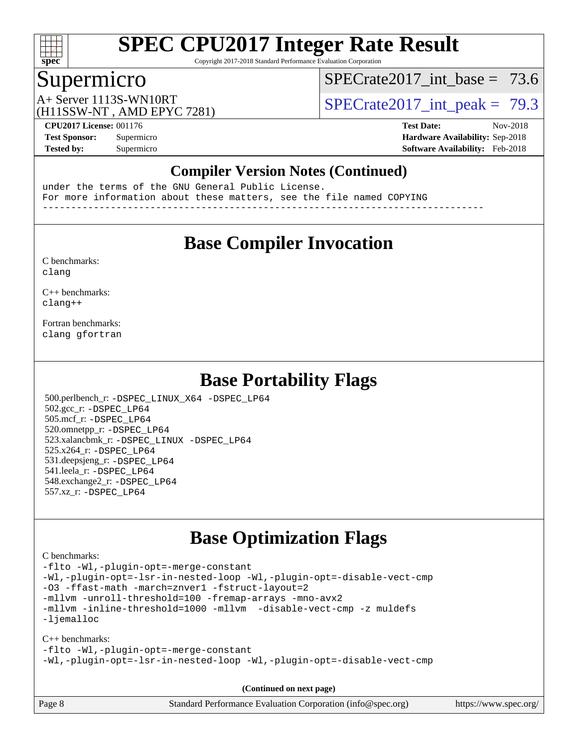

Copyright 2017-2018 Standard Performance Evaluation Corporation

## Supermicro

SPECrate2017 int\_base =  $73.6$ 

(H11SSW-NT , AMD EPYC 7281)

A+ Server 1113S-WN10RT <br>SPECrate2017 int\_peak = 79.3

**[CPU2017 License:](http://www.spec.org/auto/cpu2017/Docs/result-fields.html#CPU2017License)** 001176 **[Test Date:](http://www.spec.org/auto/cpu2017/Docs/result-fields.html#TestDate)** Nov-2018 **[Test Sponsor:](http://www.spec.org/auto/cpu2017/Docs/result-fields.html#TestSponsor)** Supermicro **[Hardware Availability:](http://www.spec.org/auto/cpu2017/Docs/result-fields.html#HardwareAvailability)** Sep-2018 **[Tested by:](http://www.spec.org/auto/cpu2017/Docs/result-fields.html#Testedby)** Supermicro **[Software Availability:](http://www.spec.org/auto/cpu2017/Docs/result-fields.html#SoftwareAvailability)** Feb-2018

#### **[Compiler Version Notes \(Continued\)](http://www.spec.org/auto/cpu2017/Docs/result-fields.html#CompilerVersionNotes)**

under the terms of the GNU General Public License. For more information about these matters, see the file named COPYING ------------------------------------------------------------------------------

## **[Base Compiler Invocation](http://www.spec.org/auto/cpu2017/Docs/result-fields.html#BaseCompilerInvocation)**

[C benchmarks](http://www.spec.org/auto/cpu2017/Docs/result-fields.html#Cbenchmarks): [clang](http://www.spec.org/cpu2017/results/res2018q4/cpu2017-20181127-09928.flags.html#user_CCbase_Fclang3_a68b77bfed473bd9cdd22529af008e8306c2e3948617c8991604c1a2000ee4a73ef90dd8bc793e105fe4165a625d26dacbda4708d828ad19048918c071b363ec)

[C++ benchmarks:](http://www.spec.org/auto/cpu2017/Docs/result-fields.html#CXXbenchmarks) [clang++](http://www.spec.org/cpu2017/results/res2018q4/cpu2017-20181127-09928.flags.html#user_CXXbase_Fclang3_57a48582e5be507d19b2527b3e7d4f85d9b8669ffc9a8a0dbb9bcf949a918a58bbab411e0c4d14a3922022a3e425a90db94042683824c1806feff4324ca1000d)

[Fortran benchmarks](http://www.spec.org/auto/cpu2017/Docs/result-fields.html#Fortranbenchmarks): [clang](http://www.spec.org/cpu2017/results/res2018q4/cpu2017-20181127-09928.flags.html#user_FCbase_Fclang3_a68b77bfed473bd9cdd22529af008e8306c2e3948617c8991604c1a2000ee4a73ef90dd8bc793e105fe4165a625d26dacbda4708d828ad19048918c071b363ec) [gfortran](http://www.spec.org/cpu2017/results/res2018q4/cpu2017-20181127-09928.flags.html#user_FCbase_aocc-gfortran_128c91a56d61ddb07404721e65b8f9498c31a443dacbd3b7f212891090eca86e2d099b520f75b99e9e8ac4fdec01f4d15f0b65e47123ec4c42b0759045731a1f)

### **[Base Portability Flags](http://www.spec.org/auto/cpu2017/Docs/result-fields.html#BasePortabilityFlags)**

 500.perlbench\_r: [-DSPEC\\_LINUX\\_X64](http://www.spec.org/cpu2017/results/res2018q4/cpu2017-20181127-09928.flags.html#b500.perlbench_r_basePORTABILITY_DSPEC_LINUX_X64) [-DSPEC\\_LP64](http://www.spec.org/cpu2017/results/res2018q4/cpu2017-20181127-09928.flags.html#b500.perlbench_r_baseEXTRA_PORTABILITY_DSPEC_LP64) 502.gcc\_r: [-DSPEC\\_LP64](http://www.spec.org/cpu2017/results/res2018q4/cpu2017-20181127-09928.flags.html#suite_baseEXTRA_PORTABILITY502_gcc_r_DSPEC_LP64) 505.mcf\_r: [-DSPEC\\_LP64](http://www.spec.org/cpu2017/results/res2018q4/cpu2017-20181127-09928.flags.html#suite_baseEXTRA_PORTABILITY505_mcf_r_DSPEC_LP64) 520.omnetpp\_r: [-DSPEC\\_LP64](http://www.spec.org/cpu2017/results/res2018q4/cpu2017-20181127-09928.flags.html#suite_baseEXTRA_PORTABILITY520_omnetpp_r_DSPEC_LP64) 523.xalancbmk\_r: [-DSPEC\\_LINUX](http://www.spec.org/cpu2017/results/res2018q4/cpu2017-20181127-09928.flags.html#b523.xalancbmk_r_basePORTABILITY_DSPEC_LINUX) [-DSPEC\\_LP64](http://www.spec.org/cpu2017/results/res2018q4/cpu2017-20181127-09928.flags.html#suite_baseEXTRA_PORTABILITY523_xalancbmk_r_DSPEC_LP64) 525.x264\_r: [-DSPEC\\_LP64](http://www.spec.org/cpu2017/results/res2018q4/cpu2017-20181127-09928.flags.html#suite_baseEXTRA_PORTABILITY525_x264_r_DSPEC_LP64) 531.deepsjeng\_r: [-DSPEC\\_LP64](http://www.spec.org/cpu2017/results/res2018q4/cpu2017-20181127-09928.flags.html#suite_baseEXTRA_PORTABILITY531_deepsjeng_r_DSPEC_LP64) 541.leela\_r: [-DSPEC\\_LP64](http://www.spec.org/cpu2017/results/res2018q4/cpu2017-20181127-09928.flags.html#suite_baseEXTRA_PORTABILITY541_leela_r_DSPEC_LP64) 548.exchange2\_r: [-DSPEC\\_LP64](http://www.spec.org/cpu2017/results/res2018q4/cpu2017-20181127-09928.flags.html#suite_baseEXTRA_PORTABILITY548_exchange2_r_DSPEC_LP64) 557.xz\_r: [-DSPEC\\_LP64](http://www.spec.org/cpu2017/results/res2018q4/cpu2017-20181127-09928.flags.html#suite_baseEXTRA_PORTABILITY557_xz_r_DSPEC_LP64)

## **[Base Optimization Flags](http://www.spec.org/auto/cpu2017/Docs/result-fields.html#BaseOptimizationFlags)**

[C benchmarks](http://www.spec.org/auto/cpu2017/Docs/result-fields.html#Cbenchmarks):

[-flto](http://www.spec.org/cpu2017/results/res2018q4/cpu2017-20181127-09928.flags.html#user_CCbase_lto) [-Wl,-plugin-opt=-merge-constant](http://www.spec.org/cpu2017/results/res2018q4/cpu2017-20181127-09928.flags.html#user_CCbase_F-merge-constant_1d79771b5442061d9c8e05556c6b0c655e6c9e66f8c6936b0129d434b6acd2b1cf1b7cd2540d1570ff636111b08a6bc36e2e61fc34531f8ef7c1a34c57be1dbb) [-Wl,-plugin-opt=-lsr-in-nested-loop](http://www.spec.org/cpu2017/results/res2018q4/cpu2017-20181127-09928.flags.html#user_CCbase_lsr-in-nested-loop_1cff93fd95162f5e77640b5271e8bed680fb62b4a8d96fb8ab217ff3244646f1fbb342e31af83c263403bbf5249c7dc7732d5c86c3eab4cc8d32dcb7a6f33ca0) [-Wl,-plugin-opt=-disable-vect-cmp](http://www.spec.org/cpu2017/results/res2018q4/cpu2017-20181127-09928.flags.html#user_CCbase_disable-vect-cmp_1056b9a09b8ddc126e023b5f99ae33179ef568835465af9b7adeacf4b6480ff575c8aee439265bcfbcbf086f33f2fa5cca2bc4cf52b64c0cd2e10f6503cba02d) [-O3](http://www.spec.org/cpu2017/results/res2018q4/cpu2017-20181127-09928.flags.html#user_CCbase_F-O3) [-ffast-math](http://www.spec.org/cpu2017/results/res2018q4/cpu2017-20181127-09928.flags.html#user_CCbase_F-aocc-ffast-math_78dd175de6534c2005829757b9b0f2878e57b067cce6f7c443b2250ac68890960e2e1b320ca04b81ff7c62c6f87870ed05f06baf7875eea2990d38e3b73c71f1) [-march=znver1](http://www.spec.org/cpu2017/results/res2018q4/cpu2017-20181127-09928.flags.html#user_CCbase_F-march) [-fstruct-layout=2](http://www.spec.org/cpu2017/results/res2018q4/cpu2017-20181127-09928.flags.html#user_CCbase_F-fstruct-layout_a05ec02e17cdf7fe0c3950a6b005251b2b1e5e67af2b5298cf72714730c3d59ba290e75546b10aa22dac074c15ceaca36ae22c62cb51bcb2fbdc9dc4e7e222c4) [-mllvm -unroll-threshold=100](http://www.spec.org/cpu2017/results/res2018q4/cpu2017-20181127-09928.flags.html#user_CCbase_F-unroll-threshold_2755d0c78138845d361fa1543e3a063fffa198df9b3edf0cfb856bbc88a81e1769b12ac7a550c5d35197be55360db1a3f95a8d1304df999456cabf5120c45168) [-fremap-arrays](http://www.spec.org/cpu2017/results/res2018q4/cpu2017-20181127-09928.flags.html#user_CCbase_F-fremap-arrays) [-mno-avx2](http://www.spec.org/cpu2017/results/res2018q4/cpu2017-20181127-09928.flags.html#user_CCbase_F-mno-avx2) [-mllvm -inline-threshold=1000](http://www.spec.org/cpu2017/results/res2018q4/cpu2017-20181127-09928.flags.html#user_CCbase_inline-threshold_b7832241b0a6397e4ecdbaf0eb7defdc10f885c2a282fa3240fdc99844d543fda39cf8a4a9dccf68cf19b5438ac3b455264f478df15da0f4988afa40d8243bab) [-mllvm -disable-vect-cmp](http://www.spec.org/cpu2017/results/res2018q4/cpu2017-20181127-09928.flags.html#user_CCbase_disable-vect-cmp_d995c9eb800469498c6893dc847c54c903d59847b18cb2ac22011b9af7010c96d2d48d3c6b41246fe86945001509aa4dc528afb61cb238fd3b256a31781ea0cf) [-z muldefs](http://www.spec.org/cpu2017/results/res2018q4/cpu2017-20181127-09928.flags.html#user_CCbase_F-z-muldefs) [-ljemalloc](http://www.spec.org/cpu2017/results/res2018q4/cpu2017-20181127-09928.flags.html#user_CCbase_jemalloc-lib_d1249b907c500fa1c0672f44f562e3d0f79738ae9e3c4a9c376d49f265a04b9c99b167ecedbf6711b3085be911c67ff61f150a17b3472be731631ba4d0471706)

[C++ benchmarks:](http://www.spec.org/auto/cpu2017/Docs/result-fields.html#CXXbenchmarks) [-flto](http://www.spec.org/cpu2017/results/res2018q4/cpu2017-20181127-09928.flags.html#user_CXXbase_lto) [-Wl,-plugin-opt=-merge-constant](http://www.spec.org/cpu2017/results/res2018q4/cpu2017-20181127-09928.flags.html#user_CXXbase_F-merge-constant_1d79771b5442061d9c8e05556c6b0c655e6c9e66f8c6936b0129d434b6acd2b1cf1b7cd2540d1570ff636111b08a6bc36e2e61fc34531f8ef7c1a34c57be1dbb) [-Wl,-plugin-opt=-lsr-in-nested-loop](http://www.spec.org/cpu2017/results/res2018q4/cpu2017-20181127-09928.flags.html#user_CXXbase_lsr-in-nested-loop_1cff93fd95162f5e77640b5271e8bed680fb62b4a8d96fb8ab217ff3244646f1fbb342e31af83c263403bbf5249c7dc7732d5c86c3eab4cc8d32dcb7a6f33ca0) [-Wl,-plugin-opt=-disable-vect-cmp](http://www.spec.org/cpu2017/results/res2018q4/cpu2017-20181127-09928.flags.html#user_CXXbase_disable-vect-cmp_1056b9a09b8ddc126e023b5f99ae33179ef568835465af9b7adeacf4b6480ff575c8aee439265bcfbcbf086f33f2fa5cca2bc4cf52b64c0cd2e10f6503cba02d)

**(Continued on next page)**

| Page 8 | Standard Performance Evaluation Corporation (info@spec.org) | https://www.spec.org/ |
|--------|-------------------------------------------------------------|-----------------------|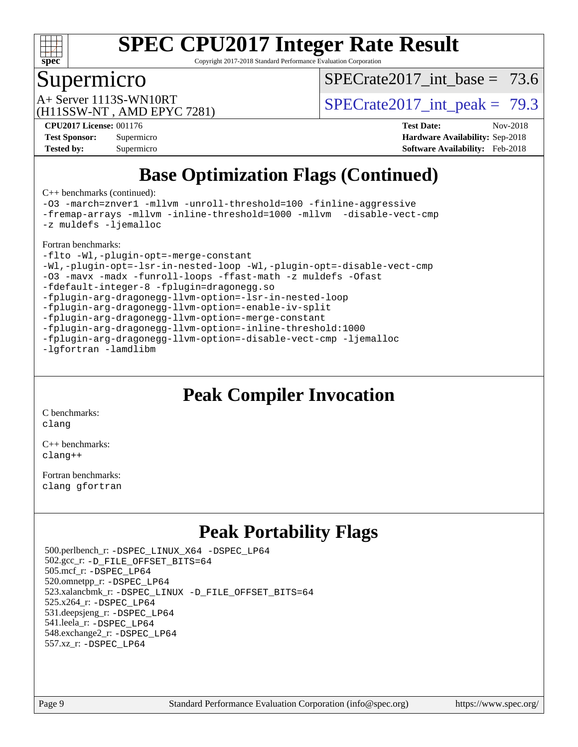

Copyright 2017-2018 Standard Performance Evaluation Corporation

### Supermicro

SPECrate2017 int\_base =  $73.6$ 

(H11SSW-NT , AMD EPYC 7281)

A+ Server 1113S-WN10RT <br> $SPECTate2017$  int\_peak = 79.3

**[CPU2017 License:](http://www.spec.org/auto/cpu2017/Docs/result-fields.html#CPU2017License)** 001176 **[Test Date:](http://www.spec.org/auto/cpu2017/Docs/result-fields.html#TestDate)** Nov-2018 **[Test Sponsor:](http://www.spec.org/auto/cpu2017/Docs/result-fields.html#TestSponsor)** Supermicro **[Hardware Availability:](http://www.spec.org/auto/cpu2017/Docs/result-fields.html#HardwareAvailability)** Sep-2018 **[Tested by:](http://www.spec.org/auto/cpu2017/Docs/result-fields.html#Testedby)** Supermicro **[Software Availability:](http://www.spec.org/auto/cpu2017/Docs/result-fields.html#SoftwareAvailability)** Feb-2018

## **[Base Optimization Flags \(Continued\)](http://www.spec.org/auto/cpu2017/Docs/result-fields.html#BaseOptimizationFlags)**

[C++ benchmarks](http://www.spec.org/auto/cpu2017/Docs/result-fields.html#CXXbenchmarks) (continued):

[-O3](http://www.spec.org/cpu2017/results/res2018q4/cpu2017-20181127-09928.flags.html#user_CXXbase_F-O3) [-march=znver1](http://www.spec.org/cpu2017/results/res2018q4/cpu2017-20181127-09928.flags.html#user_CXXbase_F-march) [-mllvm -unroll-threshold=100](http://www.spec.org/cpu2017/results/res2018q4/cpu2017-20181127-09928.flags.html#user_CXXbase_F-unroll-threshold_2755d0c78138845d361fa1543e3a063fffa198df9b3edf0cfb856bbc88a81e1769b12ac7a550c5d35197be55360db1a3f95a8d1304df999456cabf5120c45168) [-finline-aggressive](http://www.spec.org/cpu2017/results/res2018q4/cpu2017-20181127-09928.flags.html#user_CXXbase_F-finline-aggressive) [-fremap-arrays](http://www.spec.org/cpu2017/results/res2018q4/cpu2017-20181127-09928.flags.html#user_CXXbase_F-fremap-arrays) [-mllvm -inline-threshold=1000](http://www.spec.org/cpu2017/results/res2018q4/cpu2017-20181127-09928.flags.html#user_CXXbase_inline-threshold_b7832241b0a6397e4ecdbaf0eb7defdc10f885c2a282fa3240fdc99844d543fda39cf8a4a9dccf68cf19b5438ac3b455264f478df15da0f4988afa40d8243bab) [-mllvm -disable-vect-cmp](http://www.spec.org/cpu2017/results/res2018q4/cpu2017-20181127-09928.flags.html#user_CXXbase_disable-vect-cmp_d995c9eb800469498c6893dc847c54c903d59847b18cb2ac22011b9af7010c96d2d48d3c6b41246fe86945001509aa4dc528afb61cb238fd3b256a31781ea0cf) [-z muldefs](http://www.spec.org/cpu2017/results/res2018q4/cpu2017-20181127-09928.flags.html#user_CXXbase_F-z-muldefs) [-ljemalloc](http://www.spec.org/cpu2017/results/res2018q4/cpu2017-20181127-09928.flags.html#user_CXXbase_jemalloc-lib_d1249b907c500fa1c0672f44f562e3d0f79738ae9e3c4a9c376d49f265a04b9c99b167ecedbf6711b3085be911c67ff61f150a17b3472be731631ba4d0471706) [Fortran benchmarks](http://www.spec.org/auto/cpu2017/Docs/result-fields.html#Fortranbenchmarks):

[-flto](http://www.spec.org/cpu2017/results/res2018q4/cpu2017-20181127-09928.flags.html#user_FCbase_lto) [-Wl,-plugin-opt=-merge-constant](http://www.spec.org/cpu2017/results/res2018q4/cpu2017-20181127-09928.flags.html#user_FCbase_F-merge-constant_1d79771b5442061d9c8e05556c6b0c655e6c9e66f8c6936b0129d434b6acd2b1cf1b7cd2540d1570ff636111b08a6bc36e2e61fc34531f8ef7c1a34c57be1dbb) [-Wl,-plugin-opt=-lsr-in-nested-loop](http://www.spec.org/cpu2017/results/res2018q4/cpu2017-20181127-09928.flags.html#user_FCbase_lsr-in-nested-loop_1cff93fd95162f5e77640b5271e8bed680fb62b4a8d96fb8ab217ff3244646f1fbb342e31af83c263403bbf5249c7dc7732d5c86c3eab4cc8d32dcb7a6f33ca0) [-Wl,-plugin-opt=-disable-vect-cmp](http://www.spec.org/cpu2017/results/res2018q4/cpu2017-20181127-09928.flags.html#user_FCbase_disable-vect-cmp_1056b9a09b8ddc126e023b5f99ae33179ef568835465af9b7adeacf4b6480ff575c8aee439265bcfbcbf086f33f2fa5cca2bc4cf52b64c0cd2e10f6503cba02d) [-O3](http://www.spec.org/cpu2017/results/res2018q4/cpu2017-20181127-09928.flags.html#user_FCbase_F-O3) [-mavx](http://www.spec.org/cpu2017/results/res2018q4/cpu2017-20181127-09928.flags.html#user_FCbase_F-mavx) [-madx](http://www.spec.org/cpu2017/results/res2018q4/cpu2017-20181127-09928.flags.html#user_FCbase_F-madx) [-funroll-loops](http://www.spec.org/cpu2017/results/res2018q4/cpu2017-20181127-09928.flags.html#user_FCbase_aocc-funroll-loops) [-ffast-math](http://www.spec.org/cpu2017/results/res2018q4/cpu2017-20181127-09928.flags.html#user_FCbase_F-aocc-ffast-math_78dd175de6534c2005829757b9b0f2878e57b067cce6f7c443b2250ac68890960e2e1b320ca04b81ff7c62c6f87870ed05f06baf7875eea2990d38e3b73c71f1) [-z muldefs](http://www.spec.org/cpu2017/results/res2018q4/cpu2017-20181127-09928.flags.html#user_FCbase_F-z-muldefs) [-Ofast](http://www.spec.org/cpu2017/results/res2018q4/cpu2017-20181127-09928.flags.html#user_FCbase_F-aocc-Ofast) [-fdefault-integer-8](http://www.spec.org/cpu2017/results/res2018q4/cpu2017-20181127-09928.flags.html#user_FCbase_F-fdefault-integer-8) [-fplugin=dragonegg.so](http://www.spec.org/cpu2017/results/res2018q4/cpu2017-20181127-09928.flags.html#user_FCbase_F-fpluginDragonEgg) [-fplugin-arg-dragonegg-llvm-option=-lsr-in-nested-loop](http://www.spec.org/cpu2017/results/res2018q4/cpu2017-20181127-09928.flags.html#user_FCbase_lsr-in-nested-loop_9d50e9a5bf5413862ef575cb99c4306f28354df375c817cbae12d1ca2160727959926001e898e7562b79430b7fa444a8df2254024818720af45ad007761bc4a7) [-fplugin-arg-dragonegg-llvm-option=-enable-iv-split](http://www.spec.org/cpu2017/results/res2018q4/cpu2017-20181127-09928.flags.html#user_FCbase_F-enable-iv-split_5dd88da1d43c18bd75cbdf250cf834c2151012bf076ae854827e69c5249e03739713e176d494b70eccfdbb757c13240bb0c8f0dd1fe462f4542b1525161a1ac7) [-fplugin-arg-dragonegg-llvm-option=-merge-constant](http://www.spec.org/cpu2017/results/res2018q4/cpu2017-20181127-09928.flags.html#user_FCbase_F-merge-constant_37fd66d07a4fbae8f1b816e843c3ed1ebaa48f794b65ea8be746a1880566a3d23eba4a3c37b5c024650311adcf9247c62af28144803b3729b14be14423fa5142) [-fplugin-arg-dragonegg-llvm-option=-inline-threshold:1000](http://www.spec.org/cpu2017/results/res2018q4/cpu2017-20181127-09928.flags.html#user_FCbase_inline-threshold_eec74946bf81becf626625ea3f1757217b7f1e09b0c056df6f4a6dc542562255a9e8a6d36c454b3b2ed3e147f40cf87a14a68e01ad47a8b90b49f15f387f919f) [-fplugin-arg-dragonegg-llvm-option=-disable-vect-cmp](http://www.spec.org/cpu2017/results/res2018q4/cpu2017-20181127-09928.flags.html#user_FCbase_disable-vect-cmp_d119dd6f96524d64dc477d5e6a72268aebe046b42f767098038bf7530fc0cc546dd329b2376104fde185baca14f7365ef86ccd3ff602b57a7839de005478f594) [-ljemalloc](http://www.spec.org/cpu2017/results/res2018q4/cpu2017-20181127-09928.flags.html#user_FCbase_jemalloc-lib_d1249b907c500fa1c0672f44f562e3d0f79738ae9e3c4a9c376d49f265a04b9c99b167ecedbf6711b3085be911c67ff61f150a17b3472be731631ba4d0471706) [-lgfortran](http://www.spec.org/cpu2017/results/res2018q4/cpu2017-20181127-09928.flags.html#user_FCbase_F-lgfortran) [-lamdlibm](http://www.spec.org/cpu2017/results/res2018q4/cpu2017-20181127-09928.flags.html#user_FCbase_F-lamdlibm)

## **[Peak Compiler Invocation](http://www.spec.org/auto/cpu2017/Docs/result-fields.html#PeakCompilerInvocation)**

[C benchmarks](http://www.spec.org/auto/cpu2017/Docs/result-fields.html#Cbenchmarks): [clang](http://www.spec.org/cpu2017/results/res2018q4/cpu2017-20181127-09928.flags.html#user_CCpeak_Fclang3_a68b77bfed473bd9cdd22529af008e8306c2e3948617c8991604c1a2000ee4a73ef90dd8bc793e105fe4165a625d26dacbda4708d828ad19048918c071b363ec)

[C++ benchmarks:](http://www.spec.org/auto/cpu2017/Docs/result-fields.html#CXXbenchmarks) [clang++](http://www.spec.org/cpu2017/results/res2018q4/cpu2017-20181127-09928.flags.html#user_CXXpeak_Fclang3_57a48582e5be507d19b2527b3e7d4f85d9b8669ffc9a8a0dbb9bcf949a918a58bbab411e0c4d14a3922022a3e425a90db94042683824c1806feff4324ca1000d)

[Fortran benchmarks](http://www.spec.org/auto/cpu2017/Docs/result-fields.html#Fortranbenchmarks): [clang](http://www.spec.org/cpu2017/results/res2018q4/cpu2017-20181127-09928.flags.html#user_FCpeak_Fclang3_a68b77bfed473bd9cdd22529af008e8306c2e3948617c8991604c1a2000ee4a73ef90dd8bc793e105fe4165a625d26dacbda4708d828ad19048918c071b363ec) [gfortran](http://www.spec.org/cpu2017/results/res2018q4/cpu2017-20181127-09928.flags.html#user_FCpeak_aocc-gfortran_128c91a56d61ddb07404721e65b8f9498c31a443dacbd3b7f212891090eca86e2d099b520f75b99e9e8ac4fdec01f4d15f0b65e47123ec4c42b0759045731a1f)

## **[Peak Portability Flags](http://www.spec.org/auto/cpu2017/Docs/result-fields.html#PeakPortabilityFlags)**

 500.perlbench\_r: [-DSPEC\\_LINUX\\_X64](http://www.spec.org/cpu2017/results/res2018q4/cpu2017-20181127-09928.flags.html#b500.perlbench_r_peakPORTABILITY_DSPEC_LINUX_X64) [-DSPEC\\_LP64](http://www.spec.org/cpu2017/results/res2018q4/cpu2017-20181127-09928.flags.html#b500.perlbench_r_peakEXTRA_PORTABILITY_DSPEC_LP64) 502.gcc\_r: [-D\\_FILE\\_OFFSET\\_BITS=64](http://www.spec.org/cpu2017/results/res2018q4/cpu2017-20181127-09928.flags.html#user_peakEXTRA_PORTABILITY502_gcc_r_F-D_FILE_OFFSET_BITS_5ae949a99b284ddf4e95728d47cb0843d81b2eb0e18bdfe74bbf0f61d0b064f4bda2f10ea5eb90e1dcab0e84dbc592acfc5018bc955c18609f94ddb8d550002c) 505.mcf\_r: [-DSPEC\\_LP64](http://www.spec.org/cpu2017/results/res2018q4/cpu2017-20181127-09928.flags.html#suite_peakEXTRA_PORTABILITY505_mcf_r_DSPEC_LP64) 520.omnetpp\_r: [-DSPEC\\_LP64](http://www.spec.org/cpu2017/results/res2018q4/cpu2017-20181127-09928.flags.html#suite_peakEXTRA_PORTABILITY520_omnetpp_r_DSPEC_LP64) 523.xalancbmk\_r: [-DSPEC\\_LINUX](http://www.spec.org/cpu2017/results/res2018q4/cpu2017-20181127-09928.flags.html#b523.xalancbmk_r_peakPORTABILITY_DSPEC_LINUX) [-D\\_FILE\\_OFFSET\\_BITS=64](http://www.spec.org/cpu2017/results/res2018q4/cpu2017-20181127-09928.flags.html#user_peakEXTRA_PORTABILITY523_xalancbmk_r_F-D_FILE_OFFSET_BITS_5ae949a99b284ddf4e95728d47cb0843d81b2eb0e18bdfe74bbf0f61d0b064f4bda2f10ea5eb90e1dcab0e84dbc592acfc5018bc955c18609f94ddb8d550002c) 525.x264\_r: [-DSPEC\\_LP64](http://www.spec.org/cpu2017/results/res2018q4/cpu2017-20181127-09928.flags.html#suite_peakEXTRA_PORTABILITY525_x264_r_DSPEC_LP64) 531.deepsjeng\_r: [-DSPEC\\_LP64](http://www.spec.org/cpu2017/results/res2018q4/cpu2017-20181127-09928.flags.html#suite_peakEXTRA_PORTABILITY531_deepsjeng_r_DSPEC_LP64) 541.leela\_r: [-DSPEC\\_LP64](http://www.spec.org/cpu2017/results/res2018q4/cpu2017-20181127-09928.flags.html#suite_peakEXTRA_PORTABILITY541_leela_r_DSPEC_LP64) 548.exchange2\_r: [-DSPEC\\_LP64](http://www.spec.org/cpu2017/results/res2018q4/cpu2017-20181127-09928.flags.html#suite_peakEXTRA_PORTABILITY548_exchange2_r_DSPEC_LP64) 557.xz\_r: [-DSPEC\\_LP64](http://www.spec.org/cpu2017/results/res2018q4/cpu2017-20181127-09928.flags.html#suite_peakEXTRA_PORTABILITY557_xz_r_DSPEC_LP64)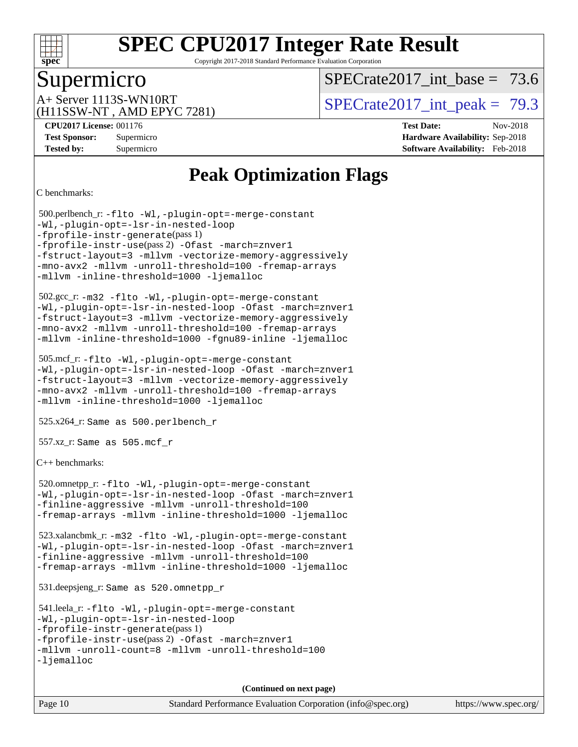

Copyright 2017-2018 Standard Performance Evaluation Corporation

## Supermicro

SPECrate2017 int\_base =  $73.6$ 

(H11SSW-NT , AMD EPYC 7281)

A+ Server 1113S-WN10RT <br> $SPECTate2017$  int\_peak = 79.3

**[Tested by:](http://www.spec.org/auto/cpu2017/Docs/result-fields.html#Testedby)** Supermicro **[Software Availability:](http://www.spec.org/auto/cpu2017/Docs/result-fields.html#SoftwareAvailability)** Feb-2018

**[CPU2017 License:](http://www.spec.org/auto/cpu2017/Docs/result-fields.html#CPU2017License)** 001176 **[Test Date:](http://www.spec.org/auto/cpu2017/Docs/result-fields.html#TestDate)** Nov-2018 **[Test Sponsor:](http://www.spec.org/auto/cpu2017/Docs/result-fields.html#TestSponsor)** Supermicro **[Hardware Availability:](http://www.spec.org/auto/cpu2017/Docs/result-fields.html#HardwareAvailability)** Sep-2018

## **[Peak Optimization Flags](http://www.spec.org/auto/cpu2017/Docs/result-fields.html#PeakOptimizationFlags)**

[C benchmarks](http://www.spec.org/auto/cpu2017/Docs/result-fields.html#Cbenchmarks):

```
 500.perlbench_r: -flto -Wl,-plugin-opt=-merge-constant
-Wl,-plugin-opt=-lsr-in-nested-loop
-fprofile-instr-generate(pass 1)
-fprofile-instr-use(pass 2) -Ofast -march=znver1
-fstruct-layout=3 -mllvm -vectorize-memory-aggressively
-mno-avx2 -mllvm -unroll-threshold=100 -fremap-arrays
-mllvm -inline-threshold=1000 -ljemalloc
 502.gcc_r: -m32 -flto -Wl,-plugin-opt=-merge-constant
-Wl,-plugin-opt=-lsr-in-nested-loop -Ofast -march=znver1
-fstruct-layout=3 -mllvm -vectorize-memory-aggressively
-mno-avx2 -mllvm -unroll-threshold=100 -fremap-arrays
-mllvm -inline-threshold=1000 -fgnu89-inline -ljemalloc
 505.mcf_r: -flto -Wl,-plugin-opt=-merge-constant
-Wl,-plugin-opt=-lsr-in-nested-loop -Ofast -march=znver1
-fstruct-layout=3 -mllvm -vectorize-memory-aggressively
-mno-avx2 -mllvm -unroll-threshold=100 -fremap-arrays
-mllvm -inline-threshold=1000 -ljemalloc
 525.x264_r: Same as 500.perlbench_r
 557.xz_r: Same as 505.mcf_r
C++ benchmarks: 
 520.omnetpp_r: -flto -Wl,-plugin-opt=-merge-constant
-Wl,-plugin-opt=-lsr-in-nested-loop -Ofast -march=znver1
-finline-aggressive -mllvm -unroll-threshold=100
-fremap-arrays -mllvm -inline-threshold=1000 -ljemalloc
 523.xalancbmk_r: -m32 -flto -Wl,-plugin-opt=-merge-constant
-Wl,-plugin-opt=-lsr-in-nested-loop -Ofast -march=znver1
-finline-aggressive -mllvm -unroll-threshold=100
-fremap-arrays -mllvm -inline-threshold=1000 -ljemalloc
 531.deepsjeng_r: Same as 520.omnetpp_r
 541.leela_r: -flto -Wl,-plugin-opt=-merge-constant
-Wl,-plugin-opt=-lsr-in-nested-loop
-fprofile-instr-generate(pass 1)
-fprofile-instr-use(pass 2) -Ofast -march=znver1
-mllvm -unroll-count=8 -mllvm -unroll-threshold=100
-ljemalloc
                                      (Continued on next page)
```